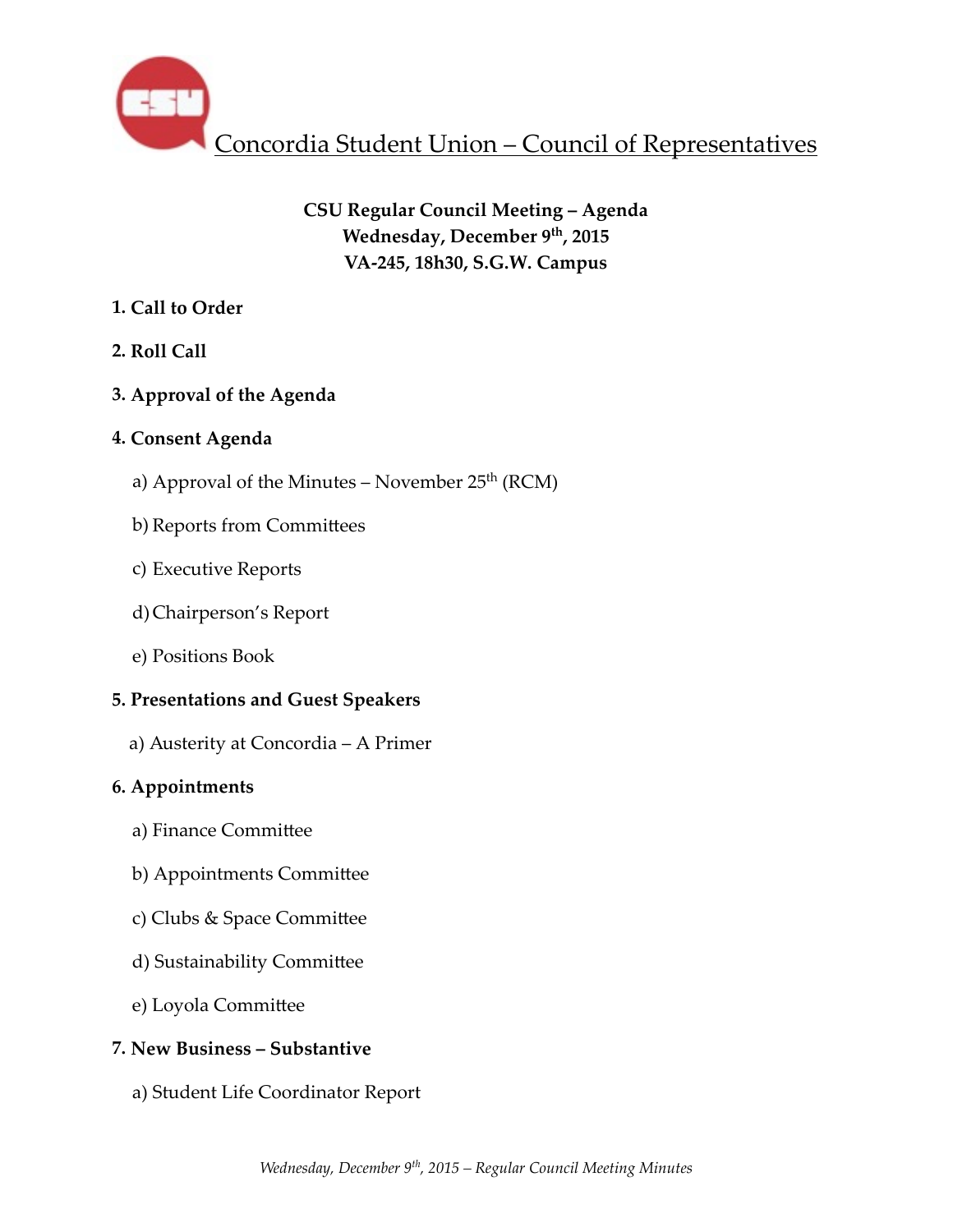

# **CSU Regular Council Meeting – Agenda** Wednesday, December 9<sup>th</sup>, 2015 **VA-245, 18h30, S.G.W. Campus**

## **1. Call to Order**

## **2. Roll Call**

## **3. Approval of the Agenda**

## **4. Consent Agenda**

- a) Approval of the Minutes November  $25<sup>th</sup>$  (RCM)
- b) Reports from Committees
- c) Executive Reports
- d)Chairperson's Report
- e) Positions Book

## **5. Presentations and Guest Speakers**

 a) Austerity at Concordia – A Primer

## **6. Appointments**

- a) Finance Committee
- b) Appointments Committee
- c) Clubs & Space Committee
- d) Sustainability Committee
- e) Loyola Committee

## **7. New Business – Substantive**

a) Student Life Coordinator Report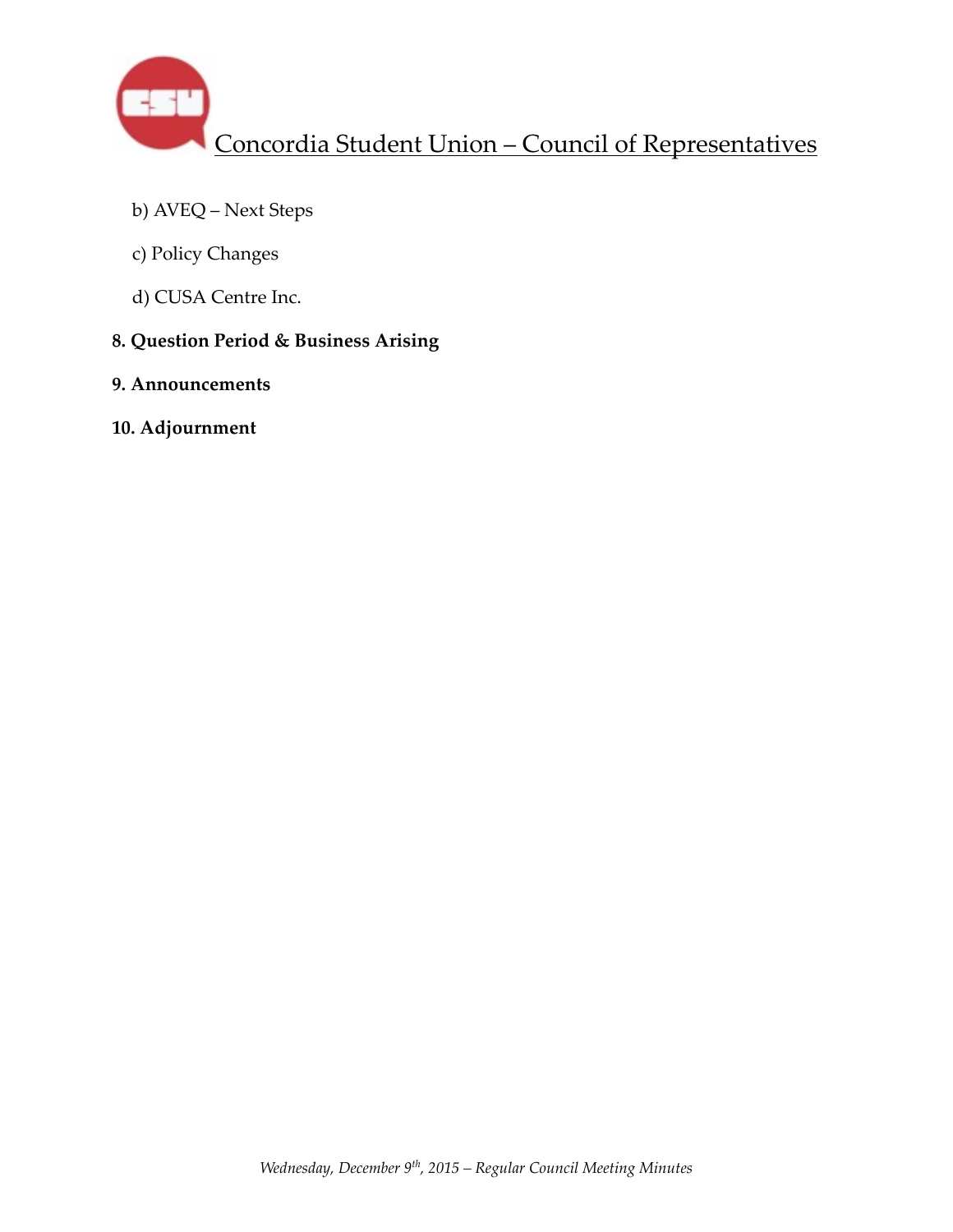

- b) AVEQ Next Steps
- c) Policy Changes
- d) CUSA Centre Inc.
- **8. Question Period & Business Arising**
- **9. Announcements**
- **10. Adjournment**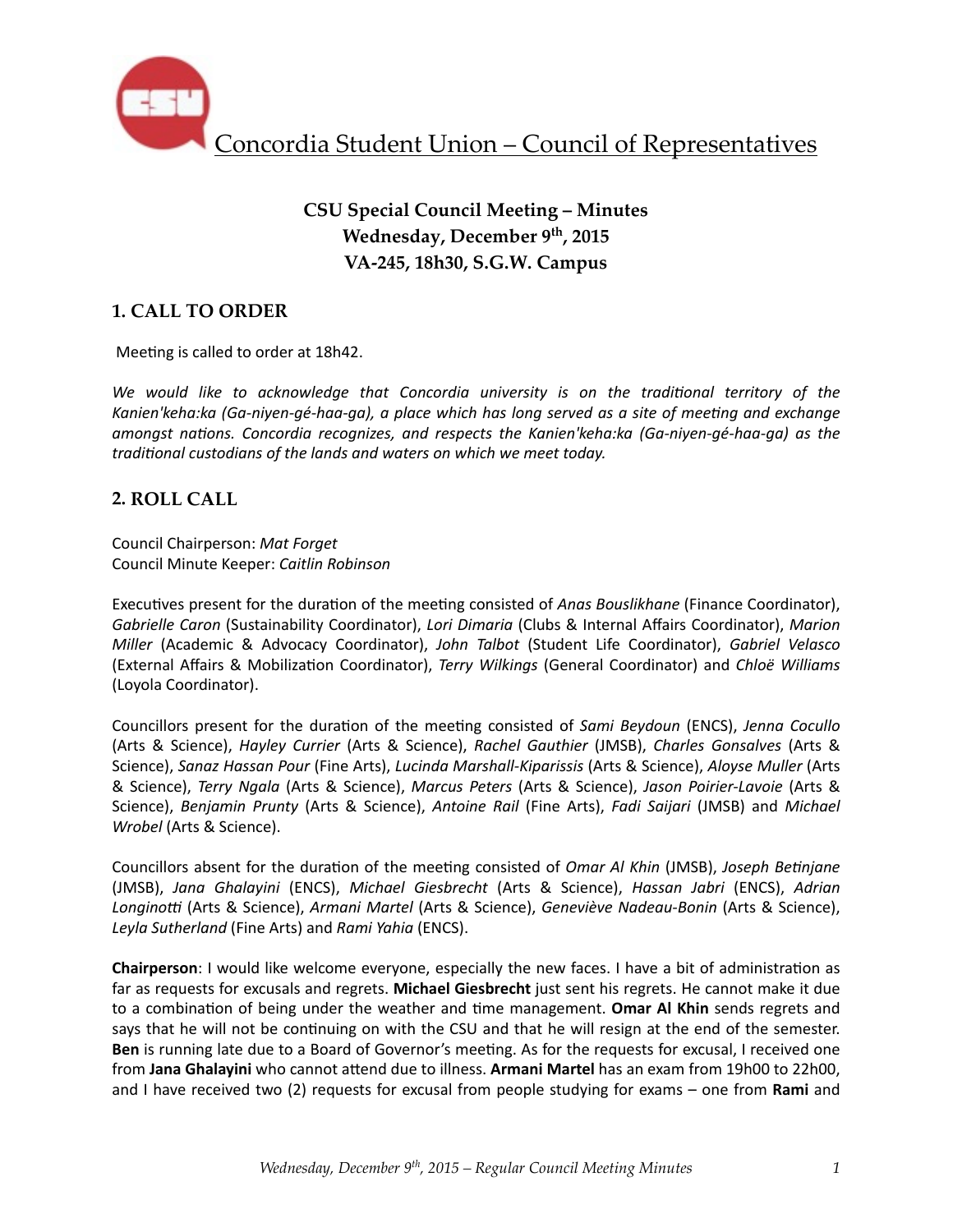

# **CSU Special Council Meeting – Minutes Wednesday, December 9th, 2015 VA-245, 18h30, S.G.W. Campus**

## **1. CALL TO ORDER**

Meeting is called to order at 18h42.

We would like to acknowledge that Concordia university is on the traditional territory of the Kanien'keha:ka (Ga-niyen-gé-haa-ga), a place which has long served as a site of meeting and exchange *amongst nations. Concordia recognizes, and respects the Kanien'keha:ka (Ga-niyen-gé-haa-ga)* as the *traditional custodians of the lands and waters on which we meet today.* 

### **2. ROLL CALL**

Council Chairperson: *Mat Forget* Council Minute Keeper: *Caitlin Robinson*

Executives present for the duration of the meeting consisted of *Anas Bouslikhane* (Finance Coordinator), *Gabrielle Caron* (Sustainability Coordinator), *Lori Dimaria* (Clubs & Internal Affairs Coordinator), Marion *Miller* (Academic & Advocacy Coordinator), *John Talbot* (Student Life Coordinator), *Gabriel Velasco* (External Affairs & Mobiliza%on Coordinator), *Terry Wilkings* (General Coordinator) and *Chloë Williams* (Loyola Coordinator). 

Councillors present for the duration of the meeting consisted of *Sami Beydoun* (ENCS), *Jenna Cocullo* (Arts & Science), *Hayley Currier* (Arts & Science), *Rachel Gauthier* (JMSB), *Charles Gonsalves*  (Arts & Science), Sanaz Hassan Pour (Fine Arts), Lucinda Marshall-Kiparissis (Arts & Science), Aloyse Muller (Arts & Science), *Terry Ngala* (Arts & Science), *Marcus Peters* (Arts & Science), *Jason Poirier-Lavoie* (Arts & Science), *Benjamin Prunty* (Arts & Science), *Antoine Rail* (Fine Arts), *Fadi Saijari* (JMSB) and *Michael Wrobel* (Arts & Science).

Councillors absent for the duration of the meeting consisted of *Omar Al Khin* (JMSB), *Joseph Betinjane* (JMSB), *Jana Ghalayini* (ENCS), *Michael Giesbrecht* (Arts & Science), *Hassan Jabri*  (ENCS), *Adrian*  Longinotti (Arts & Science), *Armani Martel* (Arts & Science), *Geneviève Nadeau-Bonin* (Arts & Science), Leyla Sutherland (Fine Arts) and *Rami Yahia* (ENCS).

**Chairperson**: I would like welcome everyone, especially the new faces. I have a bit of administration as far as requests for excusals and regrets. **Michael Giesbrecht** just sent his regrets. He cannot make it due to a combination of being under the weather and time management. Omar Al Khin sends regrets and says that he will not be continuing on with the CSU and that he will resign at the end of the semester. **Ben** is running late due to a Board of Governor's meeting. As for the requests for excusal, I received one from Jana Ghalayini who cannot attend due to illness. Armani Martel has an exam from 19h00 to 22h00, and I have received two (2) requests for excusal from people studying for exams – one from **Rami** and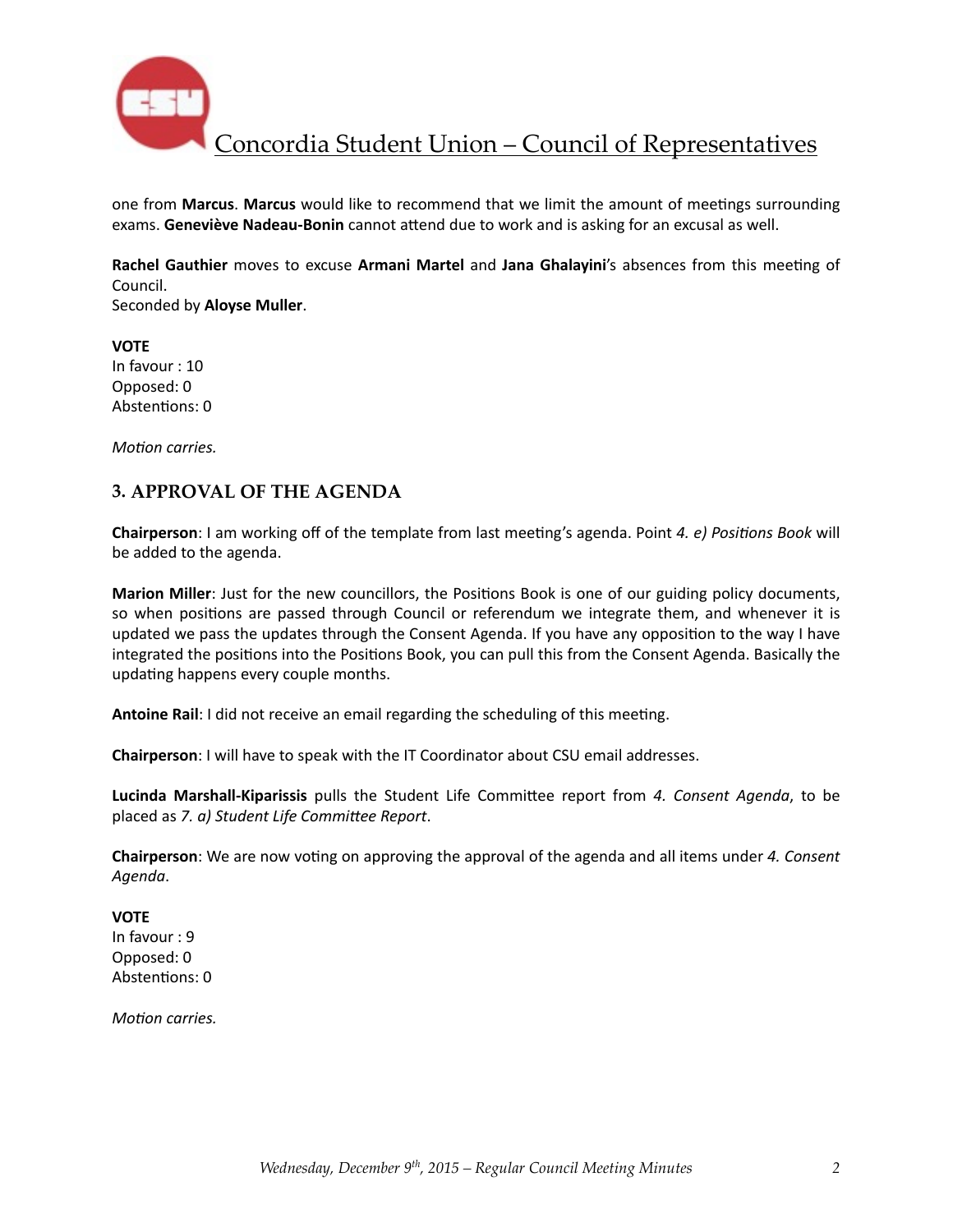

one from Marcus. Marcus would like to recommend that we limit the amount of meetings surrounding exams. Geneviève Nadeau-Bonin cannot attend due to work and is asking for an excusal as well.

Rachel Gauthier moves to excuse Armani Martel and Jana Ghalayini's absences from this meeting of Council. 

Seconded by **Aloyse Muller**. 

**VOTE** In favour : 10 Opposed: 0 Abstentions: 0

*Motion carries.* 

### **3. APPROVAL OF THE AGENDA**

**Chairperson**: I am working off of the template from last meeting's agenda. Point 4. e) Positions Book will be added to the agenda.

**Marion Miller**: Just for the new councillors, the Positions Book is one of our guiding policy documents, so when positions are passed through Council or referendum we integrate them, and whenever it is updated we pass the updates through the Consent Agenda. If you have any opposition to the way I have integrated the positions into the Positions Book, you can pull this from the Consent Agenda. Basically the updating happens every couple months.

**Antoine Rail:** I did not receive an email regarding the scheduling of this meeting.

**Chairperson**: I will have to speak with the IT Coordinator about CSU email addresses.

Lucinda Marshall-Kiparissis pulls the Student Life Committee report from 4. Consent Agenda, to be placed as *7. a)* Student Life Committee Report.

**Chairperson**: We are now voting on approving the approval of the agenda and all items under 4. Consent *Agenda*. 

#### **VOTE**

In favour : 9 Opposed: 0 Abstentions: 0

*Motion carries.*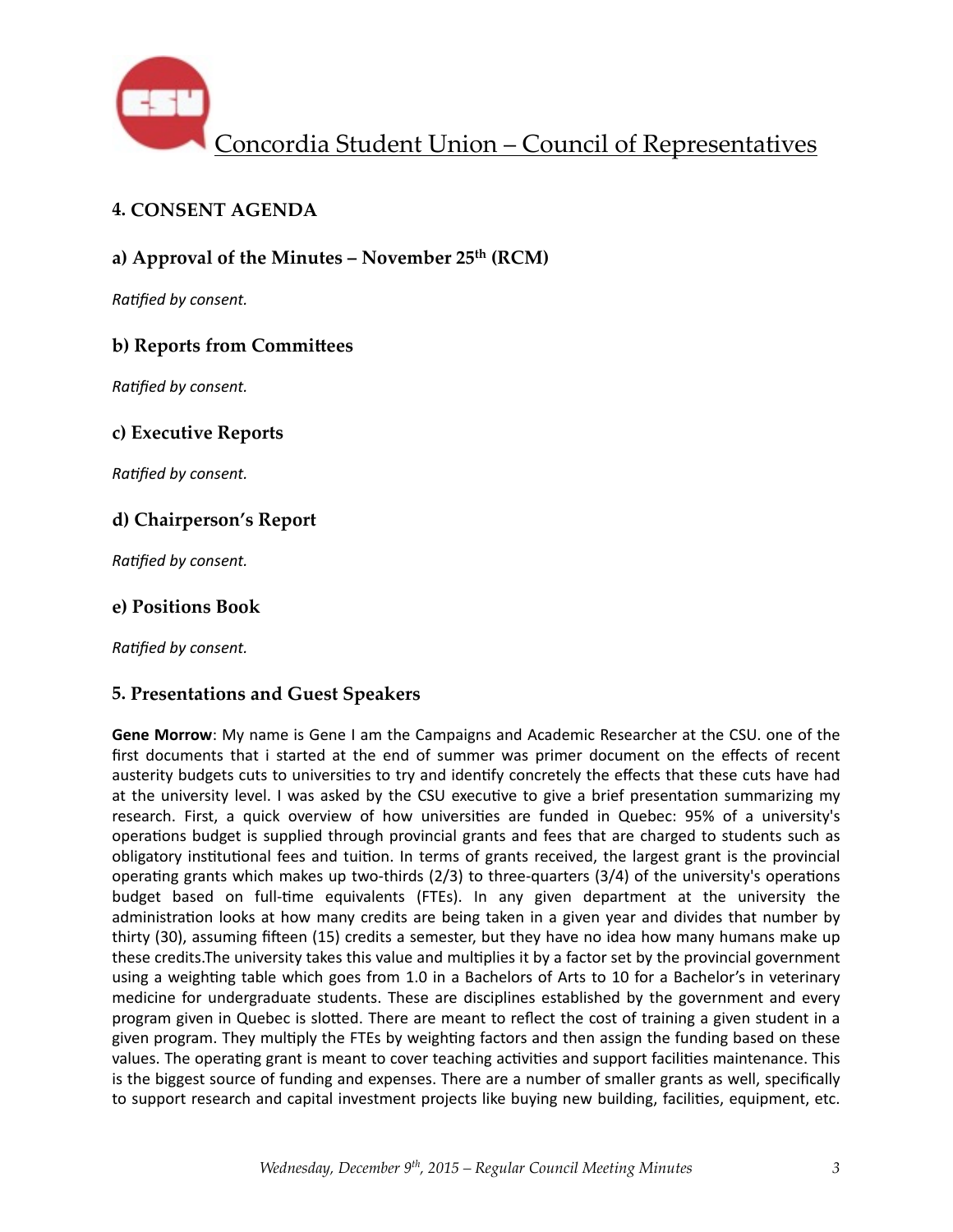

## **4. CONSENT AGENDA**

### **a) Approval of the Minutes – November 25th (RCM)**

**Ratified by consent.** 

### **b) Reports from Committees**

**Ratified by consent.** 

### **c) Executive Reports**

*Ratified by consent.* 

### **d) Chairperson's Report**

**Ratified by consent.** 

### **e) Positions Book**

**Ratified by consent.** 

#### **5. Presentations and Guest Speakers**

**Gene Morrow:** My name is Gene I am the Campaigns and Academic Researcher at the CSU. one of the first documents that i started at the end of summer was primer document on the effects of recent austerity budgets cuts to universities to try and identify concretely the effects that these cuts have had at the university level. I was asked by the CSU executive to give a brief presentation summarizing my research. First, a quick overview of how universities are funded in Quebec: 95% of a university's operations budget is supplied through provincial grants and fees that are charged to students such as obligatory institutional fees and tuition. In terms of grants received, the largest grant is the provincial operating grants which makes up two-thirds  $(2/3)$  to three-quarters  $(3/4)$  of the university's operations budget based on full-time equivalents (FTEs). In any given department at the university the administration looks at how many credits are being taken in a given year and divides that number by thirty (30), assuming fifteen (15) credits a semester, but they have no idea how many humans make up these credits.The university takes this value and multiplies it by a factor set by the provincial government using a weighting table which goes from 1.0 in a Bachelors of Arts to 10 for a Bachelor's in veterinary medicine for undergraduate students. These are disciplines established by the government and every program given in Quebec is slotted. There are meant to reflect the cost of training a given student in a given program. They multiply the FTEs by weighting factors and then assign the funding based on these values. The operating grant is meant to cover teaching activities and support facilities maintenance. This is the biggest source of funding and expenses. There are a number of smaller grants as well, specifically to support research and capital investment projects like buying new building, facilities, equipment, etc.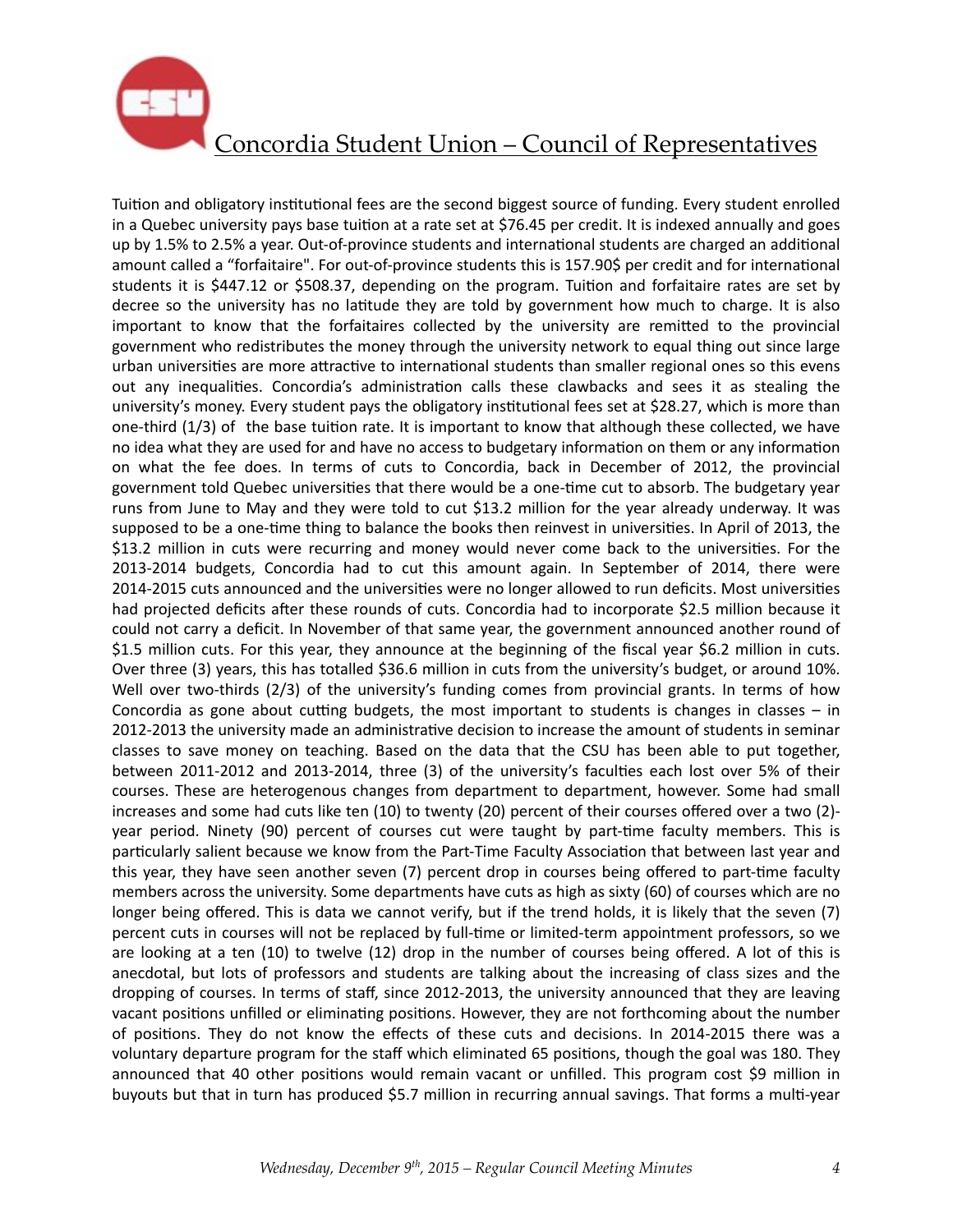

Tuition and obligatory institutional fees are the second biggest source of funding. Every student enrolled in a Quebec university pays base tuition at a rate set at \$76.45 per credit. It is indexed annually and goes up by 1.5% to 2.5% a year. Out-of-province students and international students are charged an additional amount called a "forfaitaire". For out-of-province students this is 157.90\$ per credit and for international students it is \$447.12 or \$508.37, depending on the program. Tuition and forfaitaire rates are set by decree so the university has no latitude they are told by government how much to charge. It is also important to know that the forfaitaires collected by the university are remitted to the provincial government who redistributes the money through the university network to equal thing out since large urban universities are more attractive to international students than smaller regional ones so this evens out any inequalities. Concordia's administration calls these clawbacks and sees it as stealing the university's money. Every student pays the obligatory institutional fees set at \$28.27, which is more than one-third  $(1/3)$  of the base tuition rate. It is important to know that although these collected, we have no idea what they are used for and have no access to budgetary information on them or any information on what the fee does. In terms of cuts to Concordia, back in December of 2012, the provincial government told Quebec universities that there would be a one-time cut to absorb. The budgetary year runs from June to May and they were told to cut \$13.2 million for the year already underway. It was supposed to be a one-time thing to balance the books then reinvest in universities. In April of 2013, the \$13.2 million in cuts were recurring and money would never come back to the universities. For the 2013-2014 budgets, Concordia had to cut this amount again. In September of 2014, there were 2014-2015 cuts announced and the universities were no longer allowed to run deficits. Most universities had projected deficits after these rounds of cuts. Concordia had to incorporate \$2.5 million because it could not carry a deficit. In November of that same year, the government announced another round of \$1.5 million cuts. For this year, they announce at the beginning of the fiscal year \$6.2 million in cuts. Over three (3) years, this has totalled \$36.6 million in cuts from the university's budget, or around 10%. Well over two-thirds  $(2/3)$  of the university's funding comes from provincial grants. In terms of how Concordia as gone about cutting budgets, the most important to students is changes in classes  $-$  in 2012-2013 the university made an administrative decision to increase the amount of students in seminar classes to save money on teaching. Based on the data that the CSU has been able to put together, between 2011-2012 and 2013-2014, three (3) of the university's faculties each lost over 5% of their courses. These are heterogenous changes from department to department, however. Some had small increases and some had cuts like ten (10) to twenty (20) percent of their courses offered over a two (2)year period. Ninety (90) percent of courses cut were taught by part-time faculty members. This is particularly salient because we know from the Part-Time Faculty Association that between last year and this year, they have seen another seven (7) percent drop in courses being offered to part-time faculty members across the university. Some departments have cuts as high as sixty (60) of courses which are no longer being offered. This is data we cannot verify, but if the trend holds, it is likely that the seven (7) percent cuts in courses will not be replaced by full-time or limited-term appointment professors, so we are looking at a ten  $(10)$  to twelve  $(12)$  drop in the number of courses being offered. A lot of this is anecdotal, but lots of professors and students are talking about the increasing of class sizes and the dropping of courses. In terms of staff, since 2012-2013, the university announced that they are leaving vacant positions unfilled or eliminating positions. However, they are not forthcoming about the number of positions. They do not know the effects of these cuts and decisions. In 2014-2015 there was a voluntary departure program for the staff which eliminated 65 positions, though the goal was 180. They announced that 40 other positions would remain vacant or unfilled. This program cost \$9 million in buyouts but that in turn has produced \$5.7 million in recurring annual savings. That forms a multi-year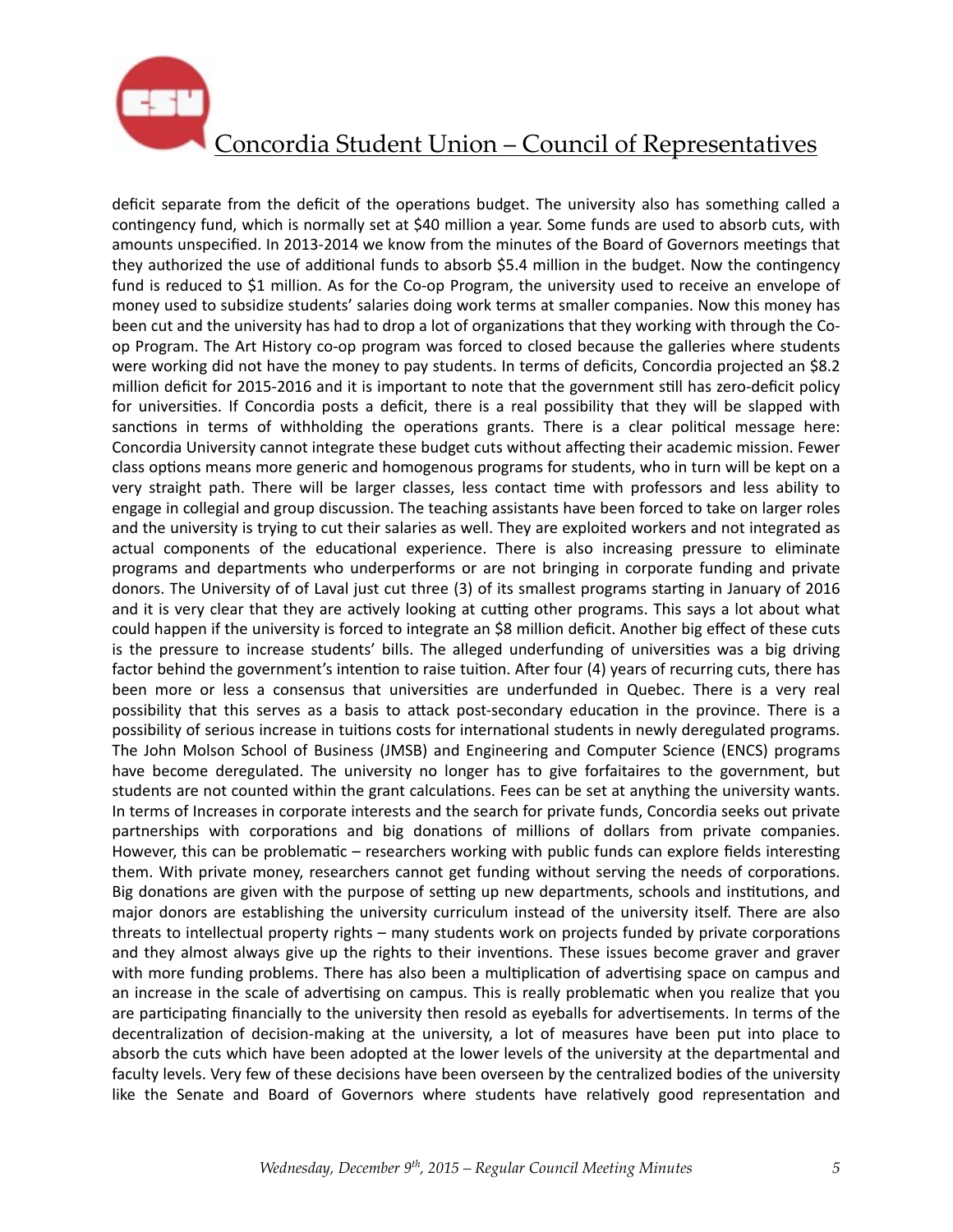

deficit separate from the deficit of the operations budget. The university also has something called a contingency fund, which is normally set at \$40 million a year. Some funds are used to absorb cuts, with amounts unspecified. In 2013-2014 we know from the minutes of the Board of Governors meetings that they authorized the use of additional funds to absorb \$5.4 million in the budget. Now the contingency fund is reduced to \$1 million. As for the Co-op Program, the university used to receive an envelope of money used to subsidize students' salaries doing work terms at smaller companies. Now this money has been cut and the university has had to drop a lot of organizations that they working with through the Coop Program. The Art History co-op program was forced to closed because the galleries where students were working did not have the money to pay students. In terms of deficits, Concordia projected an \$8.2 million deficit for 2015-2016 and it is important to note that the government still has zero-deficit policy for universities. If Concordia posts a deficit, there is a real possibility that they will be slapped with sanctions in terms of withholding the operations grants. There is a clear political message here: Concordia University cannot integrate these budget cuts without affecting their academic mission. Fewer class options means more generic and homogenous programs for students, who in turn will be kept on a very straight path. There will be larger classes, less contact time with professors and less ability to engage in collegial and group discussion. The teaching assistants have been forced to take on larger roles and the university is trying to cut their salaries as well. They are exploited workers and not integrated as actual components of the educational experience. There is also increasing pressure to eliminate programs and departments who underperforms or are not bringing in corporate funding and private donors. The University of of Laval just cut three (3) of its smallest programs starting in January of 2016 and it is very clear that they are actively looking at cutting other programs. This says a lot about what could happen if the university is forced to integrate an \$8 million deficit. Another big effect of these cuts is the pressure to increase students' bills. The alleged underfunding of universities was a big driving factor behind the government's intention to raise tuition. After four (4) years of recurring cuts, there has been more or less a consensus that universities are underfunded in Quebec. There is a very real possibility that this serves as a basis to attack post-secondary education in the province. There is a possibility of serious increase in tuitions costs for international students in newly deregulated programs. The John Molson School of Business (JMSB) and Engineering and Computer Science (ENCS) programs have become deregulated. The university no longer has to give forfaitaires to the government, but students are not counted within the grant calculations. Fees can be set at anything the university wants. In terms of Increases in corporate interests and the search for private funds, Concordia seeks out private partnerships with corporations and big donations of millions of dollars from private companies. However, this can be problematic – researchers working with public funds can explore fields interesting them. With private money, researchers cannot get funding without serving the needs of corporations. Big donations are given with the purpose of setting up new departments, schools and institutions, and major donors are establishing the university curriculum instead of the university itself. There are also threats to intellectual property rights – many students work on projects funded by private corporations and they almost always give up the rights to their inventions. These issues become graver and graver with more funding problems. There has also been a multiplication of advertising space on campus and an increase in the scale of advertising on campus. This is really problematic when you realize that you are participating financially to the university then resold as eyeballs for advertisements. In terms of the decentralization of decision-making at the university, a lot of measures have been put into place to absorb the cuts which have been adopted at the lower levels of the university at the departmental and faculty levels. Very few of these decisions have been overseen by the centralized bodies of the university like the Senate and Board of Governors where students have relatively good representation and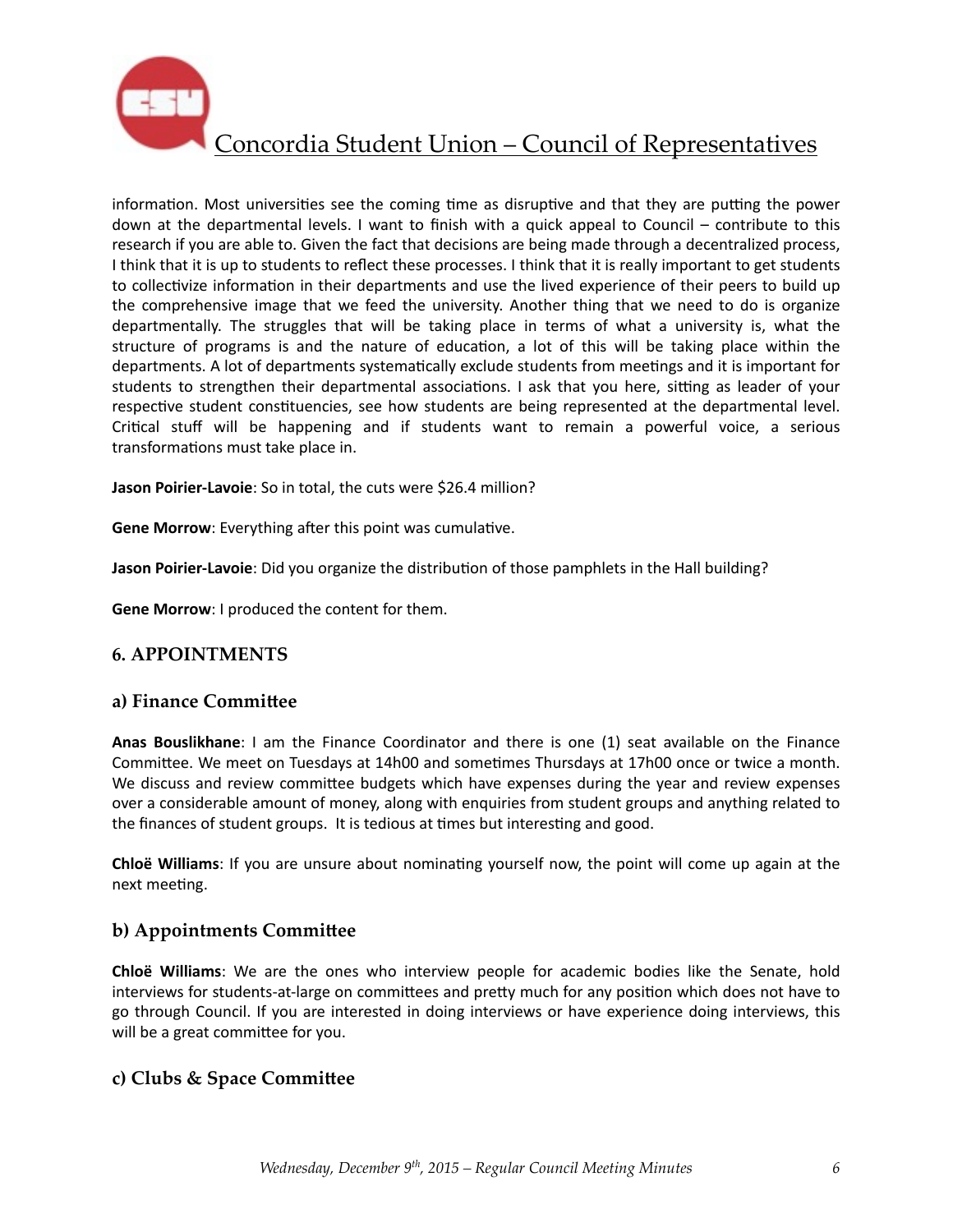

information. Most universities see the coming time as disruptive and that they are putting the power down at the departmental levels. I want to finish with a quick appeal to Council – contribute to this research if you are able to. Given the fact that decisions are being made through a decentralized process, I think that it is up to students to reflect these processes. I think that it is really important to get students to collectivize information in their departments and use the lived experience of their peers to build up the comprehensive image that we feed the university. Another thing that we need to do is organize departmentally. The struggles that will be taking place in terms of what a university is, what the structure of programs is and the nature of education, a lot of this will be taking place within the departments. A lot of departments systematically exclude students from meetings and it is important for students to strengthen their departmental associations. I ask that you here, sitting as leader of your respective student constituencies, see how students are being represented at the departmental level. Critical stuff will be happening and if students want to remain a powerful voice, a serious transformations must take place in.

Jason Poirier-Lavoie: So in total, the cuts were \$26.4 million?

**Gene Morrow:** Everything after this point was cumulative.

**Jason Poirier-Lavoie**: Did you organize the distribution of those pamphlets in the Hall building?

**Gene Morrow**: I produced the content for them.

### **6. APPOINTMENTS**

#### **a) Finance Committee**

**Anas Bouslikhane**: I am the Finance Coordinator and there is one (1) seat available on the Finance Committee. We meet on Tuesdays at 14h00 and sometimes Thursdays at 17h00 once or twice a month. We discuss and review committee budgets which have expenses during the year and review expenses over a considerable amount of money, along with enquiries from student groups and anything related to the finances of student groups. It is tedious at times but interesting and good.

**Chloë Williams**: If you are unsure about nominating yourself now, the point will come up again at the next meeting.

### **b) Appointments Committee**

**Chloë Williams**: We are the ones who interview people for academic bodies like the Senate, hold interviews for students-at-large on committees and pretty much for any position which does not have to go through Council. If you are interested in doing interviews or have experience doing interviews, this will be a great committee for you.

### **c) Clubs & Space Commi^ee**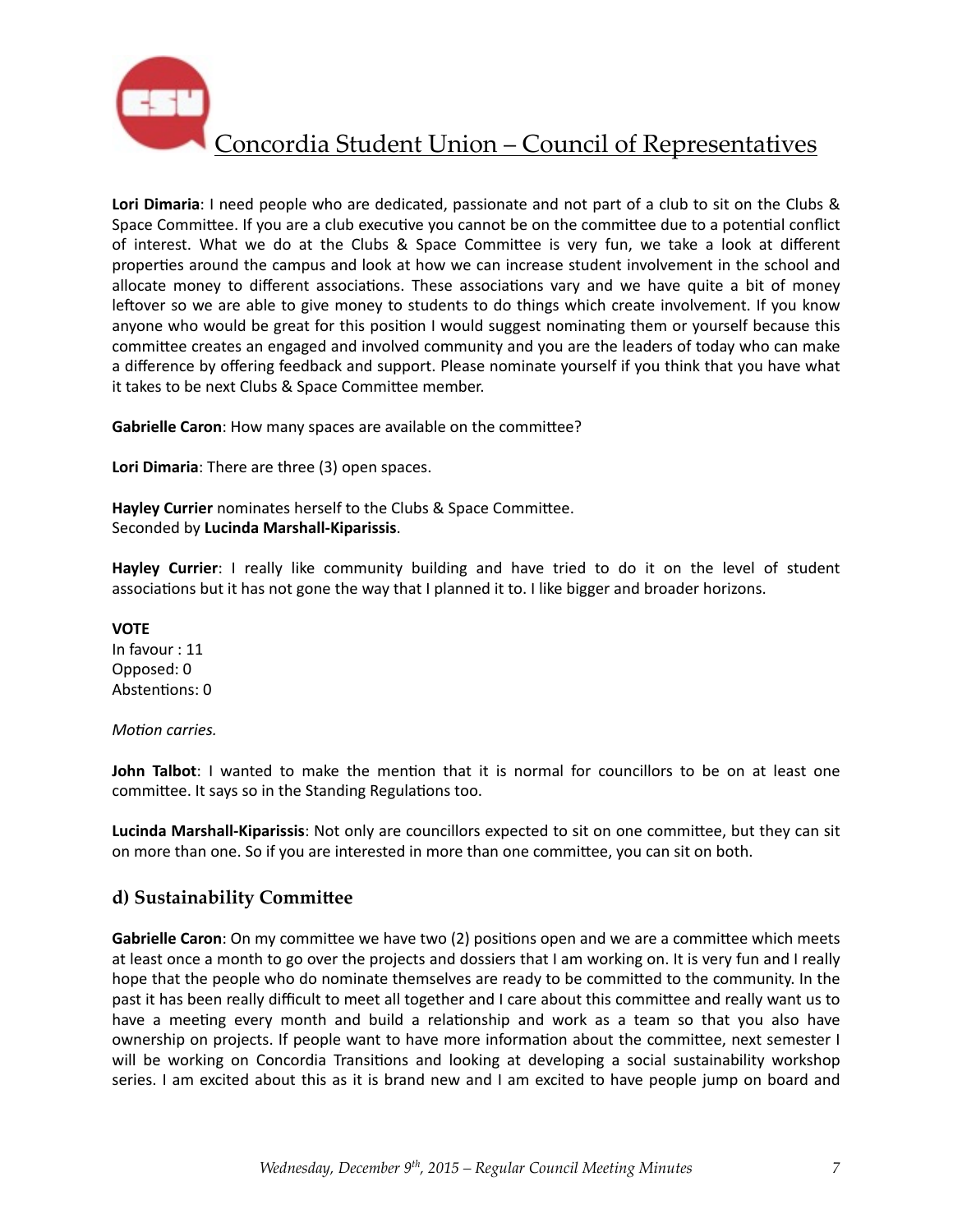

Lori Dimaria: I need people who are dedicated, passionate and not part of a club to sit on the Clubs & Space Committee. If you are a club executive you cannot be on the committee due to a potential conflict of interest. What we do at the Clubs & Space Committee is very fun, we take a look at different properties around the campus and look at how we can increase student involvement in the school and allocate money to different associations. These associations vary and we have quite a bit of money leftover so we are able to give money to students to do things which create involvement. If you know anyone who would be great for this position I would suggest nominating them or yourself because this committee creates an engaged and involved community and you are the leaders of today who can make a difference by offering feedback and support. Please nominate yourself if you think that you have what it takes to be next Clubs & Space Committee member.

**Gabrielle Caron**: How many spaces are available on the committee?

**Lori Dimaria:** There are three (3) open spaces.

**Hayley Currier** nominates herself to the Clubs & Space Committee. Seconded by **Lucinda Marshall-Kiparissis**. 

**Hayley Currier**: I really like community building and have tried to do it on the level of student associations but it has not gone the way that I planned it to. I like bigger and broader horizons.

**VOTE** In favour : 11 Opposed: 0 Abstentions: 0

#### *Motion carries.*

**John Talbot**: I wanted to make the mention that it is normal for councillors to be on at least one committee. It says so in the Standing Regulations too.

**Lucinda Marshall-Kiparissis**: Not only are councillors expected to sit on one committee, but they can sit on more than one. So if you are interested in more than one committee, you can sit on both.

### d) Sustainability Committee

**Gabrielle Caron**: On my committee we have two (2) positions open and we are a committee which meets at least once a month to go over the projects and dossiers that I am working on. It is very fun and I really hope that the people who do nominate themselves are ready to be committed to the community. In the past it has been really difficult to meet all together and I care about this committee and really want us to have a meeting every month and build a relationship and work as a team so that you also have ownership on projects. If people want to have more information about the committee, next semester I will be working on Concordia Transitions and looking at developing a social sustainability workshop series. I am excited about this as it is brand new and I am excited to have people jump on board and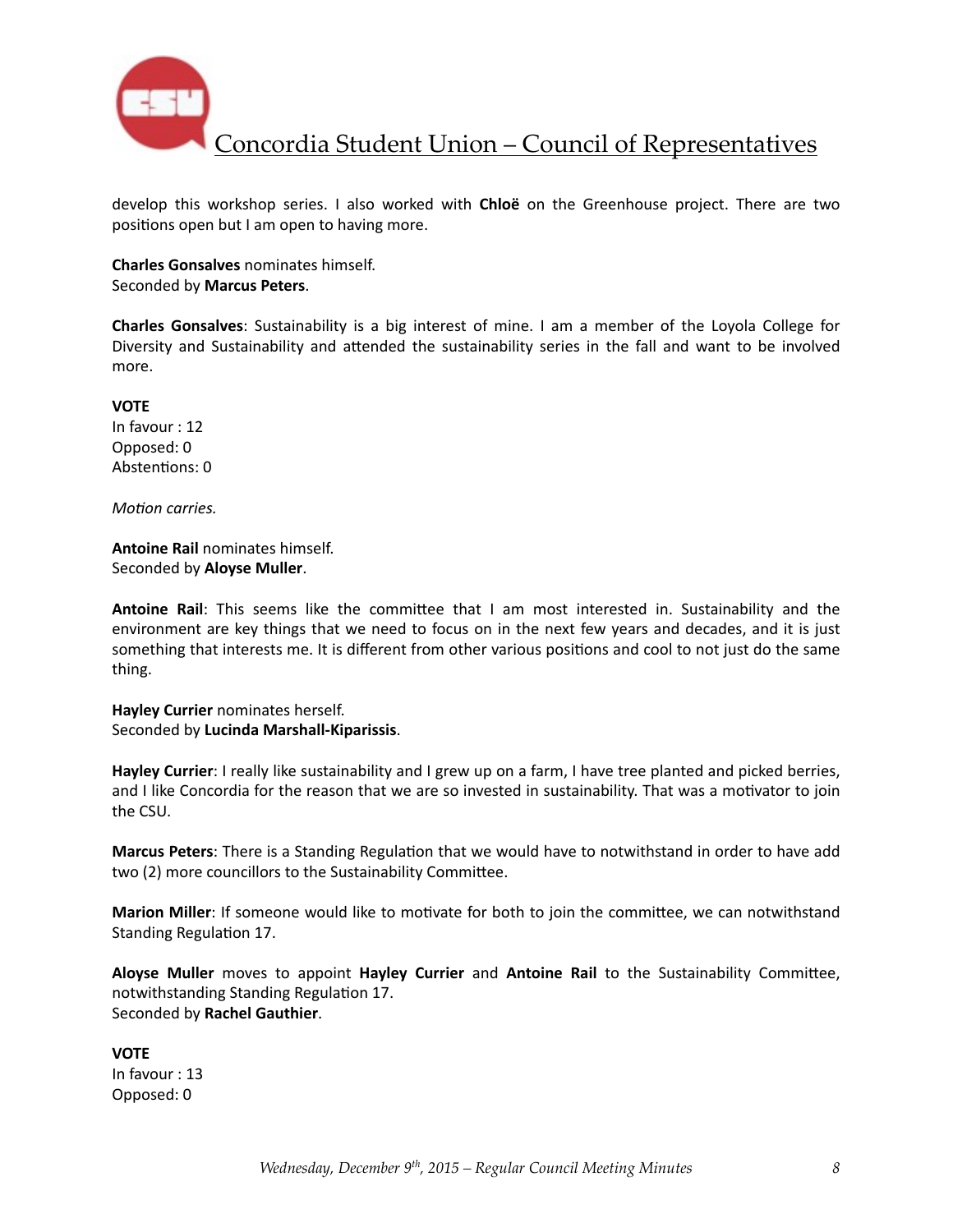

develop this workshop series. I also worked with **Chloë** on the Greenhouse project. There are two positions open but I am open to having more.

**Charles Gonsalves** nominates himself. Seconded by **Marcus Peters**. 

**Charles Gonsalves**: Sustainability is a big interest of mine. I am a member of the Loyola College for Diversity and Sustainability and attended the sustainability series in the fall and want to be involved more. 

**VOTE** In favour : 12 Opposed: 0 Abstentions: 0

*Motion carries.* 

**Antoine Rail** nominates himself. Seconded by **Aloyse Muller**.

**Antoine Rail:** This seems like the committee that I am most interested in. Sustainability and the environment are key things that we need to focus on in the next few years and decades, and it is just something that interests me. It is different from other various positions and cool to not just do the same thing. 

**Hayley Currier** nominates herself. Seconded by **Lucinda Marshall-Kiparissis**. 

**Hayley Currier**: I really like sustainability and I grew up on a farm, I have tree planted and picked berries, and I like Concordia for the reason that we are so invested in sustainability. That was a motivator to join the CSU.

**Marcus Peters**: There is a Standing Regulation that we would have to notwithstand in order to have add two (2) more councillors to the Sustainability Committee.

**Marion Miller**: If someone would like to motivate for both to join the committee, we can notwithstand Standing Regulation 17.

Aloyse Muller moves to appoint Hayley Currier and Antoine Rail to the Sustainability Committee, notwithstanding Standing Regulation 17. Seconded by **Rachel Gauthier**. 

**VOTE** In favour : 13 Opposed: 0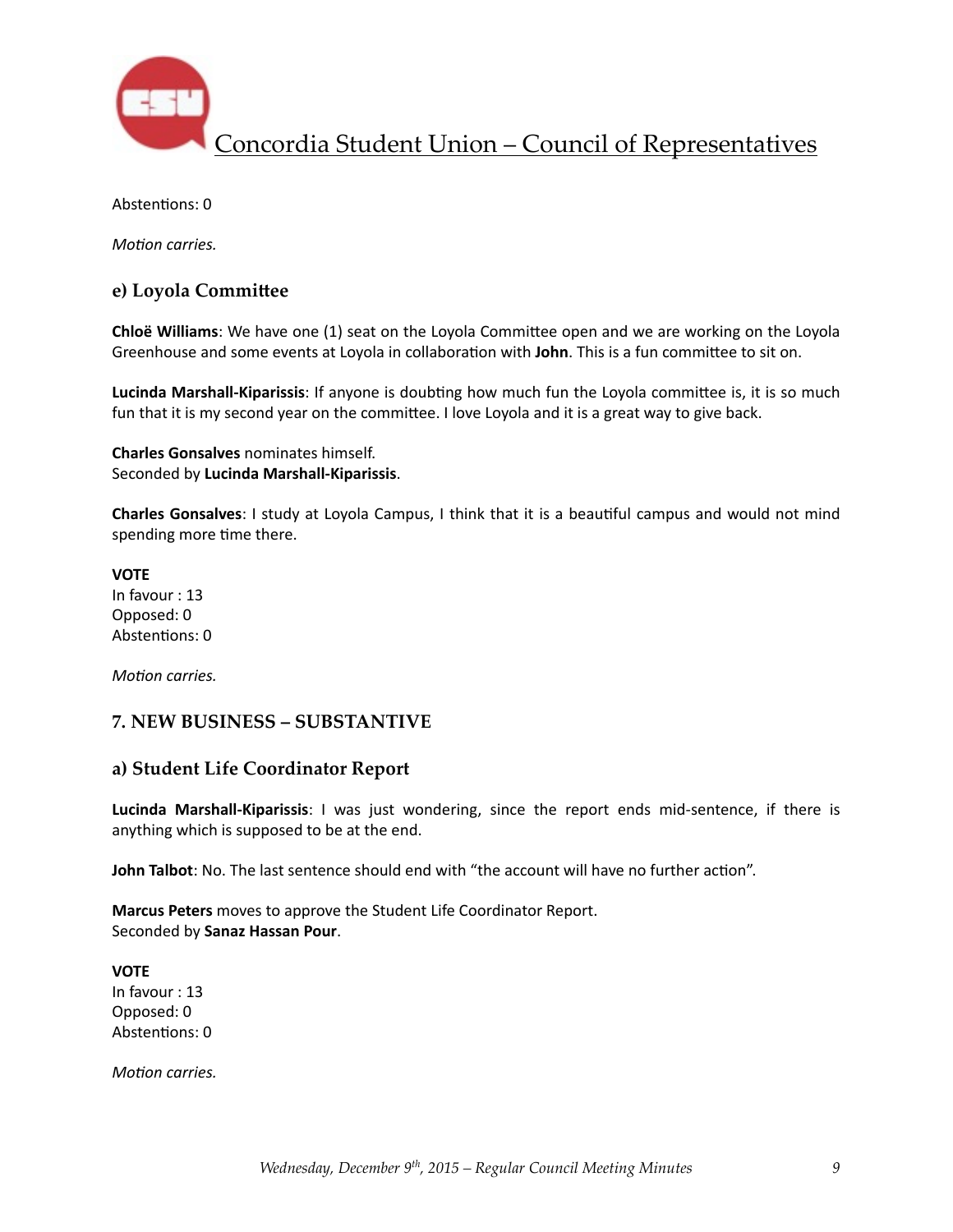

Abstentions: 0

*Motion carries.* 

### **e)** Loyola Committee

**Chloë Williams**: We have one (1) seat on the Loyola Committee open and we are working on the Loyola Greenhouse and some events at Loyola in collaboration with **John**. This is a fun committee to sit on.

**Lucinda Marshall-Kiparissis**: If anyone is doubting how much fun the Loyola committee is, it is so much fun that it is my second year on the committee. I love Loyola and it is a great way to give back.

**Charles Gonsalves** nominates himself. Seconded by **Lucinda Marshall-Kiparissis**. 

**Charles Gonsalves**: I study at Loyola Campus, I think that it is a beautiful campus and would not mind spending more time there.

**VOTE** In favour : 13 Opposed: 0 Abstentions: 0

*Motion carries.* 

### **7. NEW BUSINESS – SUBSTANTIVE**

#### **a) Student Life Coordinator Report**

**Lucinda Marshall-Kiparissis**: I was just wondering, since the report ends mid-sentence, if there is anything which is supposed to be at the end.

**John Talbot**: No. The last sentence should end with "the account will have no further action".

**Marcus Peters** moves to approve the Student Life Coordinator Report. Seconded by **Sanaz Hassan Pour**. 

**VOTE** In favour : 13 Opposed: 0 Abstentions: 0

*Motion carries.*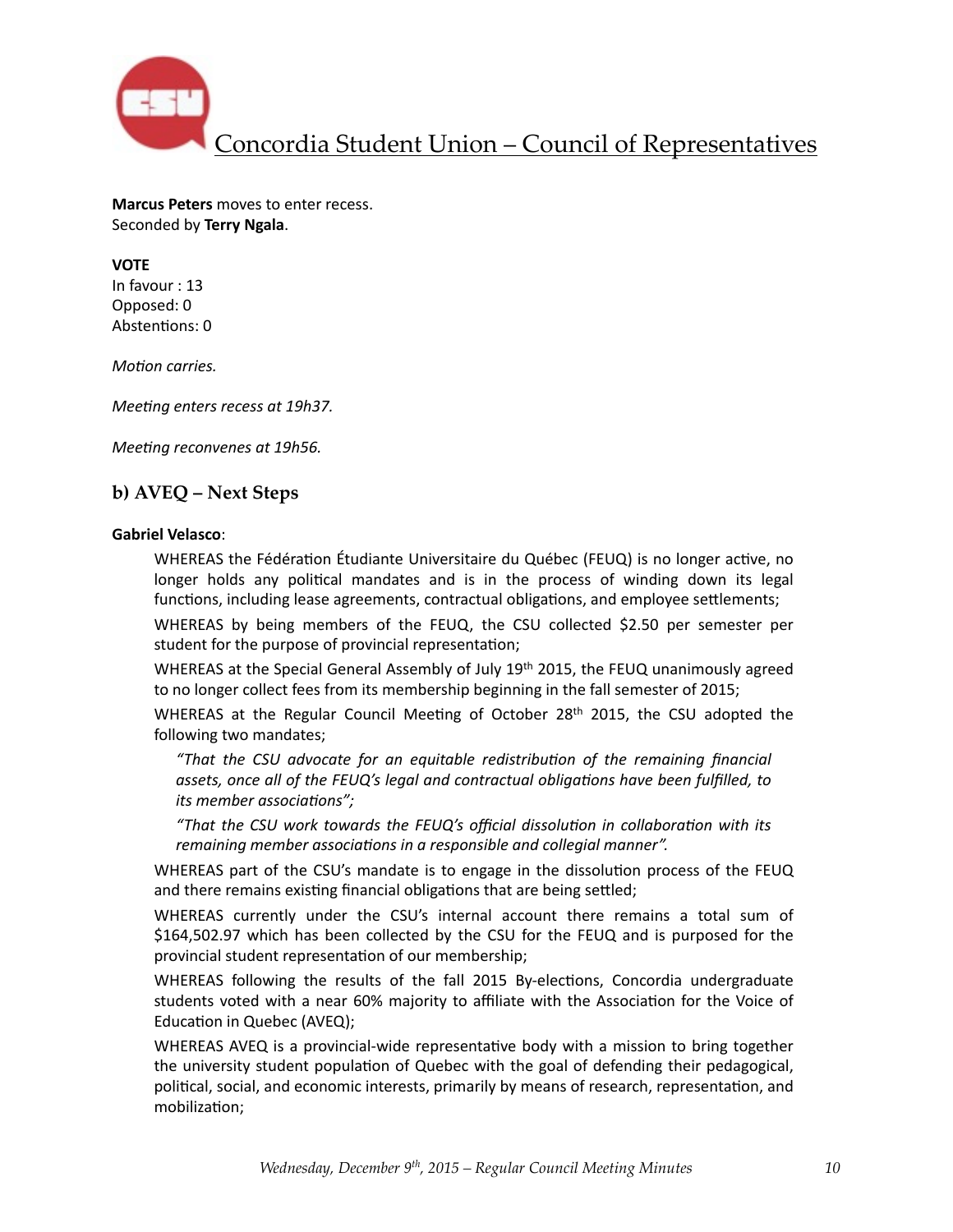

**Marcus Peters** moves to enter recess. Seconded by **Terry Ngala**. 

**VOTE** In favour : 13 Opposed: 0 Abstentions: 0

*Motion carries.* 

*Meeting enters recess at 19h37.* 

*Meeting reconvenes at 19h56.* 

### **b) AVEQ – Next Steps**

#### **Gabriel Velasco**:

WHEREAS the Fédération Étudiante Universitaire du Québec (FEUQ) is no longer active, no longer holds any political mandates and is in the process of winding down its legal functions, including lease agreements, contractual obligations, and employee settlements;

WHEREAS by being members of the FEUQ, the CSU collected \$2.50 per semester per student for the purpose of provincial representation;

WHEREAS at the Special General Assembly of July  $19<sup>th</sup>$  2015, the FEUQ unanimously agreed to no longer collect fees from its membership beginning in the fall semester of 2015;

WHEREAS at the Regular Council Meeting of October  $28<sup>th</sup>$  2015, the CSU adopted the following two mandates;

*"That the CSU advocate for an equitable redistribu6on of the remaining financial*  assets, once all of the FEUQ's legal and contractual obligations have been fulfilled, to *its* member associations";

*"That the CSU work towards the FEUQ's official dissolu6on in collabora6on with its remaining member associations in a responsible and collegial manner".* 

WHEREAS part of the CSU's mandate is to engage in the dissolution process of the FEUQ and there remains existing financial obligations that are being settled;

WHEREAS currently under the CSU's internal account there remains a total sum of \$164,502.97 which has been collected by the CSU for the FEUQ and is purposed for the provincial student representation of our membership;

WHEREAS following the results of the fall 2015 By-elections, Concordia undergraduate students voted with a near 60% majority to affiliate with the Association for the Voice of Education in Quebec (AVEQ);

WHEREAS AVEQ is a provincial-wide representative body with a mission to bring together the university student population of Quebec with the goal of defending their pedagogical, political, social, and economic interests, primarily by means of research, representation, and mobilization;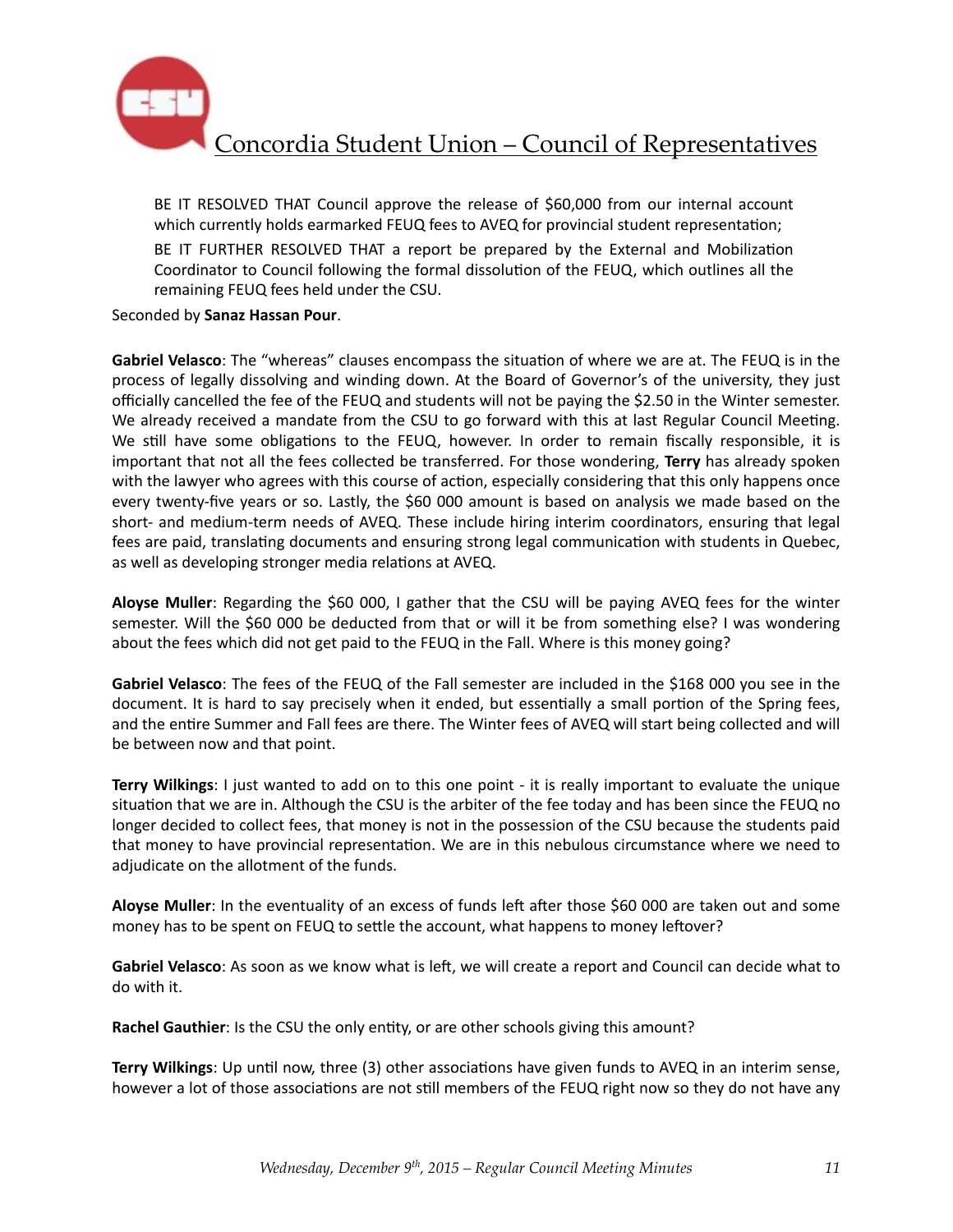

BE IT RESOLVED THAT Council approve the release of \$60,000 from our internal account which currently holds earmarked FEUQ fees to AVEQ for provincial student representation;

BE IT FURTHER RESOLVED THAT a report be prepared by the External and Mobilization Coordinator to Council following the formal dissolution of the FEUQ, which outlines all the remaining FEUQ fees held under the CSU.

Seconded by **Sanaz Hassan Pour**. 

Gabriel Velasco: The "whereas" clauses encompass the situation of where we are at. The FEUQ is in the process of legally dissolving and winding down. At the Board of Governor's of the university, they just officially cancelled the fee of the FEUQ and students will not be paying the \$2.50 in the Winter semester. We already received a mandate from the CSU to go forward with this at last Regular Council Meeting. We still have some obligations to the FEUQ, however. In order to remain fiscally responsible, it is important that not all the fees collected be transferred. For those wondering, Terry has already spoken with the lawyer who agrees with this course of action, especially considering that this only happens once every twenty-five years or so. Lastly, the \$60 000 amount is based on analysis we made based on the short- and medium-term needs of AVEQ. These include hiring interim coordinators, ensuring that legal fees are paid, translating documents and ensuring strong legal communication with students in Quebec, as well as developing stronger media relations at AVEQ.

**Aloyse Muller**: Regarding the \$60 000, I gather that the CSU will be paying AVEQ fees for the winter semester. Will the \$60 000 be deducted from that or will it be from something else? I was wondering about the fees which did not get paid to the FEUQ in the Fall. Where is this money going?

Gabriel Velasco: The fees of the FEUQ of the Fall semester are included in the \$168 000 you see in the document. It is hard to say precisely when it ended, but essentially a small portion of the Spring fees, and the entire Summer and Fall fees are there. The Winter fees of AVEQ will start being collected and will be between now and that point.

**Terry Wilkings**: I just wanted to add on to this one point - it is really important to evaluate the unique situation that we are in. Although the CSU is the arbiter of the fee today and has been since the FEUQ no longer decided to collect fees, that money is not in the possession of the CSU because the students paid that money to have provincial representation. We are in this nebulous circumstance where we need to adjudicate on the allotment of the funds.

Aloyse Muller: In the eventuality of an excess of funds left after those \$60 000 are taken out and some money has to be spent on FEUQ to settle the account, what happens to money leftover?

Gabriel Velasco: As soon as we know what is left, we will create a report and Council can decide what to do with it. 

**Rachel Gauthier**: Is the CSU the only entity, or are other schools giving this amount?

**Terry Wilkings**: Up until now, three (3) other associations have given funds to AVEQ in an interim sense, however a lot of those associations are not still members of the FEUQ right now so they do not have any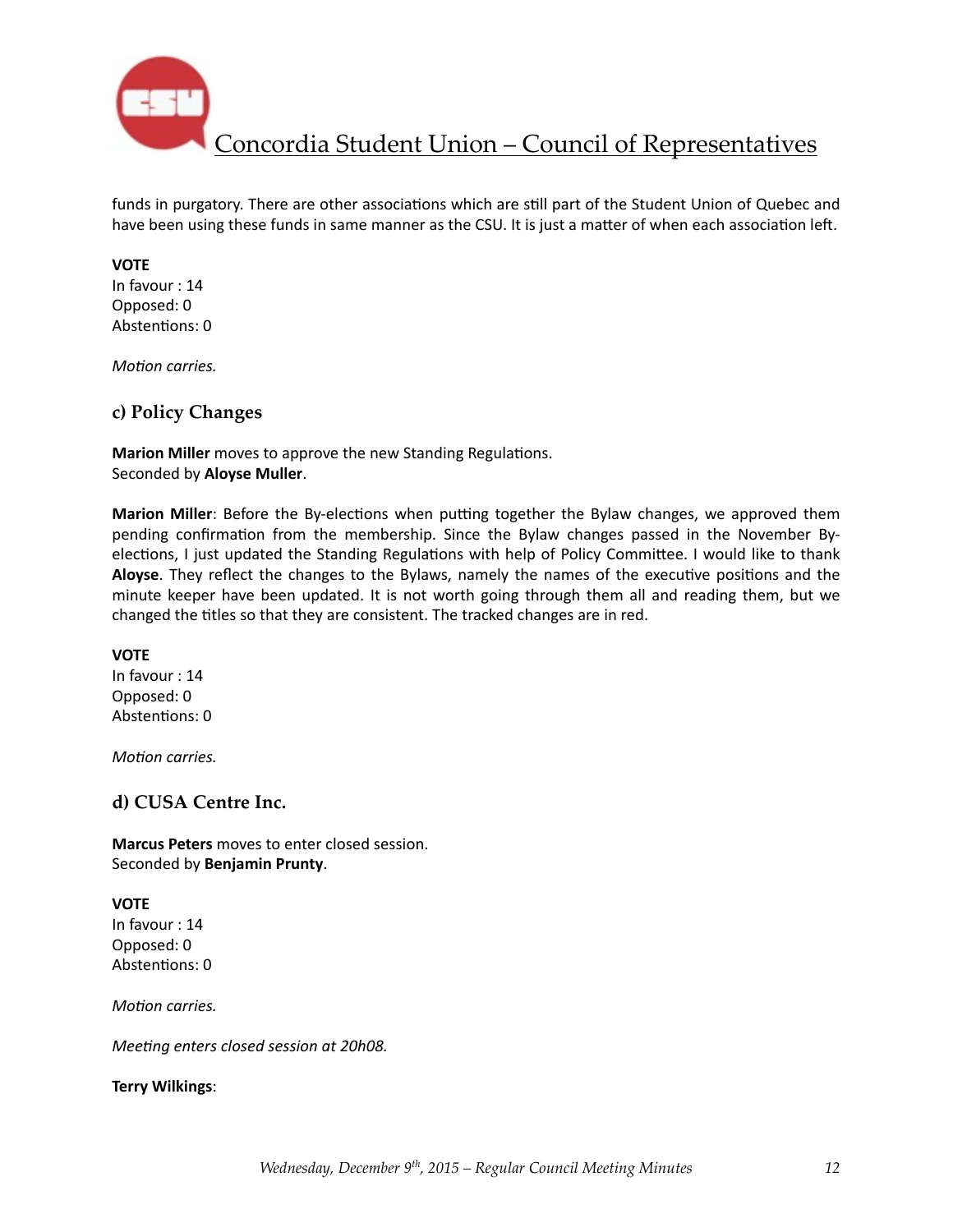

funds in purgatory. There are other associations which are still part of the Student Union of Quebec and have been using these funds in same manner as the CSU. It is just a matter of when each association left.

#### **VOTE**

In favour : 14 Opposed: 0 Abstentions: 0

*Motion carries.* 

### **c) Policy Changes**

**Marion Miller** moves to approve the new Standing Regulations. Seconded by **Aloyse Muller**. 

**Marion Miller**: Before the By-elections when putting together the Bylaw changes, we approved them pending confirmation from the membership. Since the Bylaw changes passed in the November Byelections, I just updated the Standing Regulations with help of Policy Committee. I would like to thank **Aloyse**. They reflect the changes to the Bylaws, namely the names of the executive positions and the minute keeper have been updated. It is not worth going through them all and reading them, but we changed the titles so that they are consistent. The tracked changes are in red.

#### **VOTE**

In favour : 14 Opposed: 0 Abstentions: 0

*Motion carries.* 

#### **d) CUSA Centre Inc.**

**Marcus Peters** moves to enter closed session. Seconded by **Benjamin Prunty**. 

#### **VOTE**

In favour : 14 Opposed: 0 Abstentions: 0

*Motion carries.* 

*Meeting enters closed session at 20h08.* 

#### **Terry Wilkings**: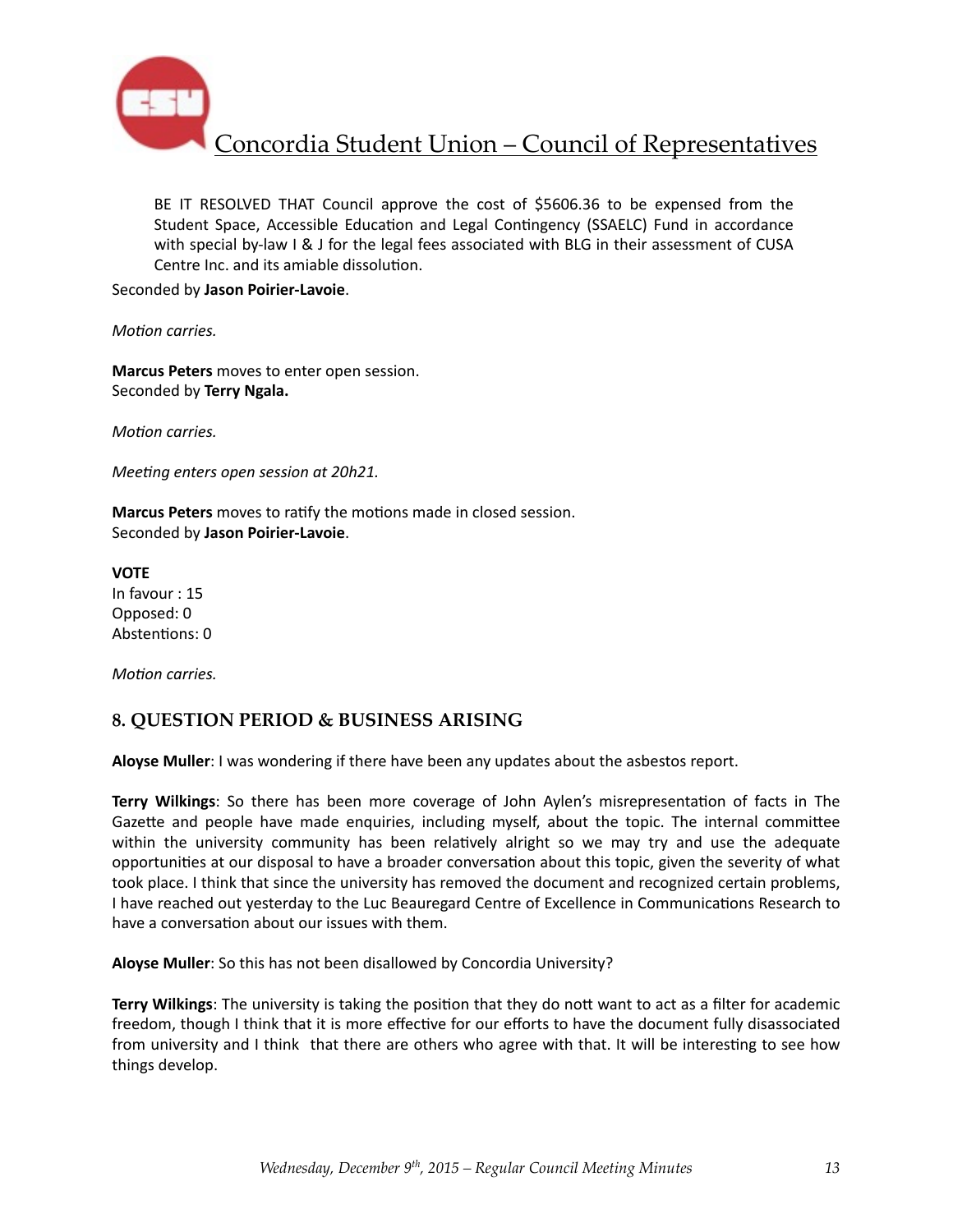

BE IT RESOLVED THAT Council approve the cost of \$5606.36 to be expensed from the Student Space, Accessible Education and Legal Contingency (SSAELC) Fund in accordance with special by-law I & J for the legal fees associated with BLG in their assessment of CUSA Centre Inc. and its amiable dissolution.

Seconded by **Jason Poirier-Lavoie**. 

*Motion carries.* 

**Marcus Peters** moves to enter open session. Seconded by **Terry Ngala.** 

*Motion carries.* 

*Meeting enters open session at 20h21.* 

**Marcus Peters** moves to ratify the motions made in closed session. Seconded by **Jason Poirier-Lavoie**. 

**VOTE** In favour : 15 Opposed: 0 Abstentions: 0

*Motion carries.* 

### **8. QUESTION PERIOD & BUSINESS ARISING**

Aloyse Muller: I was wondering if there have been any updates about the asbestos report.

**Terry Wilkings**: So there has been more coverage of John Aylen's misrepresentation of facts in The Gazette and people have made enquiries, including myself, about the topic. The internal committee within the university community has been relatively alright so we may try and use the adequate opportunities at our disposal to have a broader conversation about this topic, given the severity of what took place. I think that since the university has removed the document and recognized certain problems, I have reached out yesterday to the Luc Beauregard Centre of Excellence in Communications Research to have a conversation about our issues with them.

Aloyse Muller: So this has not been disallowed by Concordia University?

**Terry Wilkings:** The university is taking the position that they do nott want to act as a filter for academic freedom, though I think that it is more effective for our efforts to have the document fully disassociated from university and I think that there are others who agree with that. It will be interesting to see how things develop.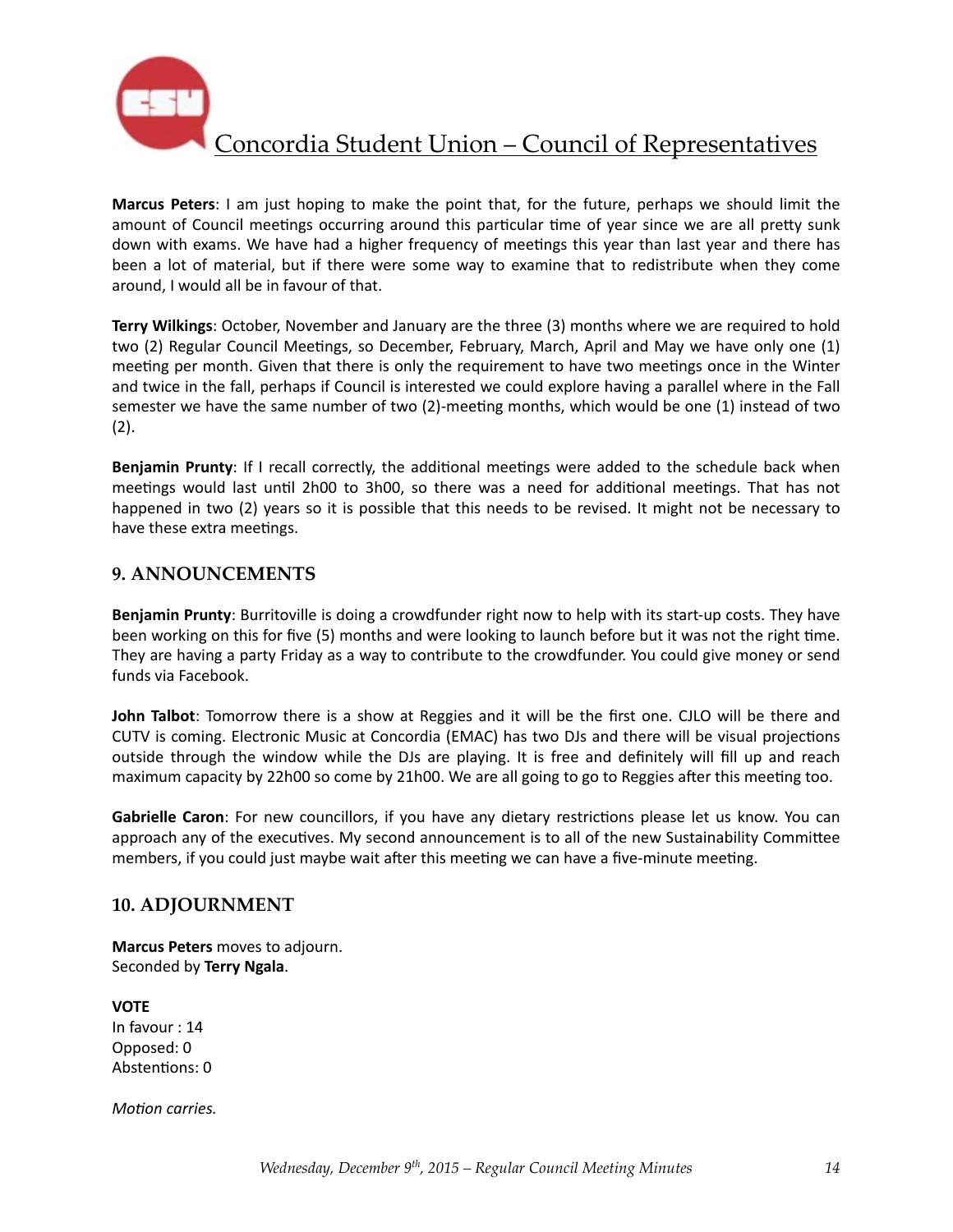

Marcus Peters: I am just hoping to make the point that, for the future, perhaps we should limit the amount of Council meetings occurring around this particular time of year since we are all pretty sunk down with exams. We have had a higher frequency of meetings this year than last year and there has been a lot of material, but if there were some way to examine that to redistribute when they come around, I would all be in favour of that.

**Terry Wilkings:** October, November and January are the three (3) months where we are required to hold two (2) Regular Council Meetings, so December, February, March, April and May we have only one (1) meeting per month. Given that there is only the requirement to have two meetings once in the Winter and twice in the fall, perhaps if Council is interested we could explore having a parallel where in the Fall semester we have the same number of two (2)-meeting months, which would be one (1) instead of two (2). 

**Benjamin Prunty**: If I recall correctly, the additional meetings were added to the schedule back when meetings would last until 2h00 to 3h00, so there was a need for additional meetings. That has not happened in two (2) years so it is possible that this needs to be revised. It might not be necessary to have these extra meetings.

### **9. ANNOUNCEMENTS**

**Benjamin Prunty**: Burritoville is doing a crowdfunder right now to help with its start-up costs. They have been working on this for five (5) months and were looking to launch before but it was not the right time. They are having a party Friday as a way to contribute to the crowdfunder. You could give money or send funds via Facebook.

**John Talbot**: Tomorrow there is a show at Reggies and it will be the first one. CJLO will be there and CUTV is coming. Electronic Music at Concordia (EMAC) has two DJs and there will be visual projections outside through the window while the DJs are playing. It is free and definitely will fill up and reach maximum capacity by 22h00 so come by 21h00. We are all going to go to Reggies after this meeting too.

**Gabrielle Caron**: For new councillors, if you have any dietary restrictions please let us know. You can approach any of the executives. My second announcement is to all of the new Sustainability Committee members, if you could just maybe wait after this meeting we can have a five-minute meeting.

### **10. ADJOURNMENT**

**Marcus Peters** moves to adjourn. Seconded by **Terry Ngala**. 

**VOTE** In favour : 14 Opposed: 0 Abstentions: 0

*Motion carries.*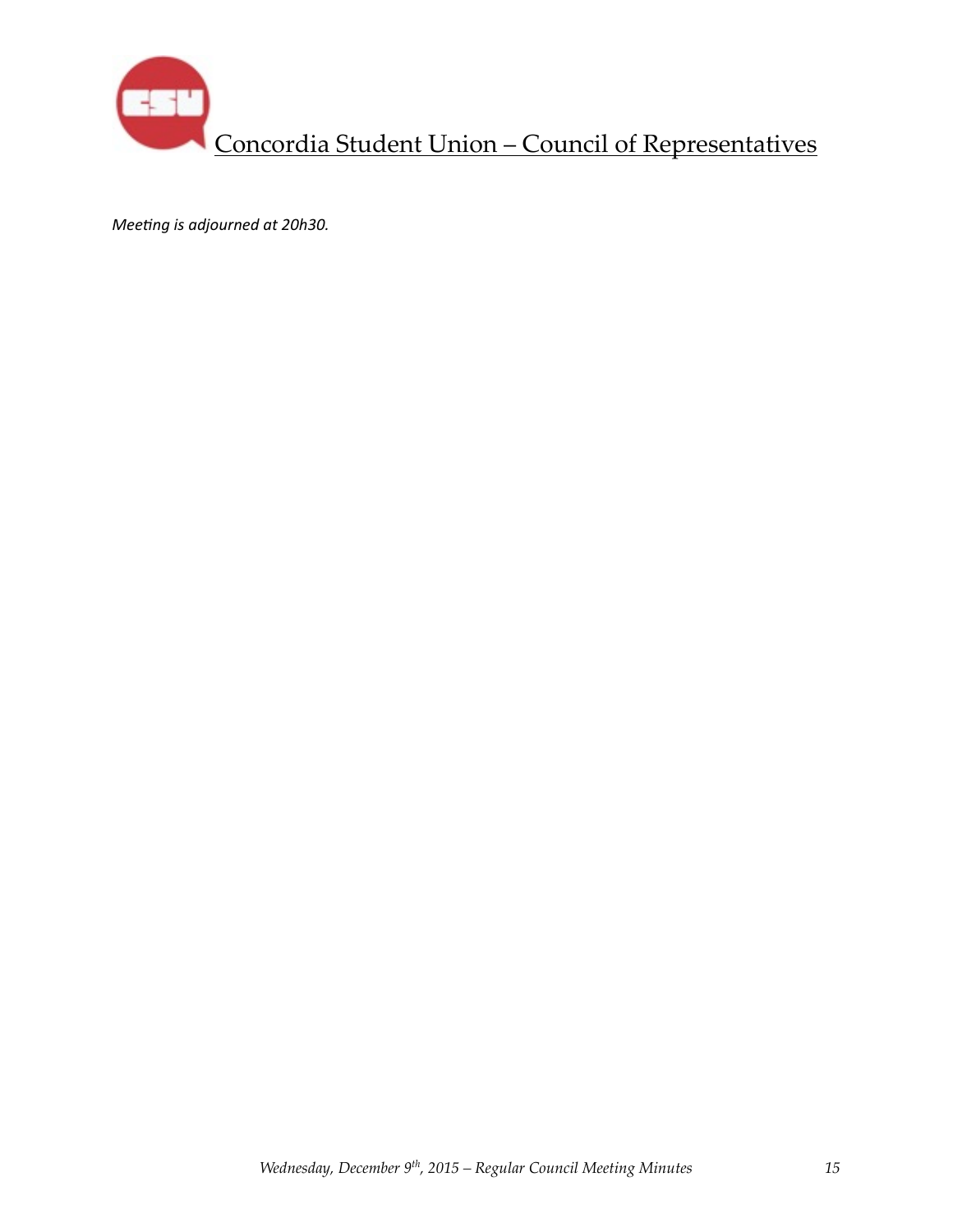

*Meeting is adjourned at 20h30.*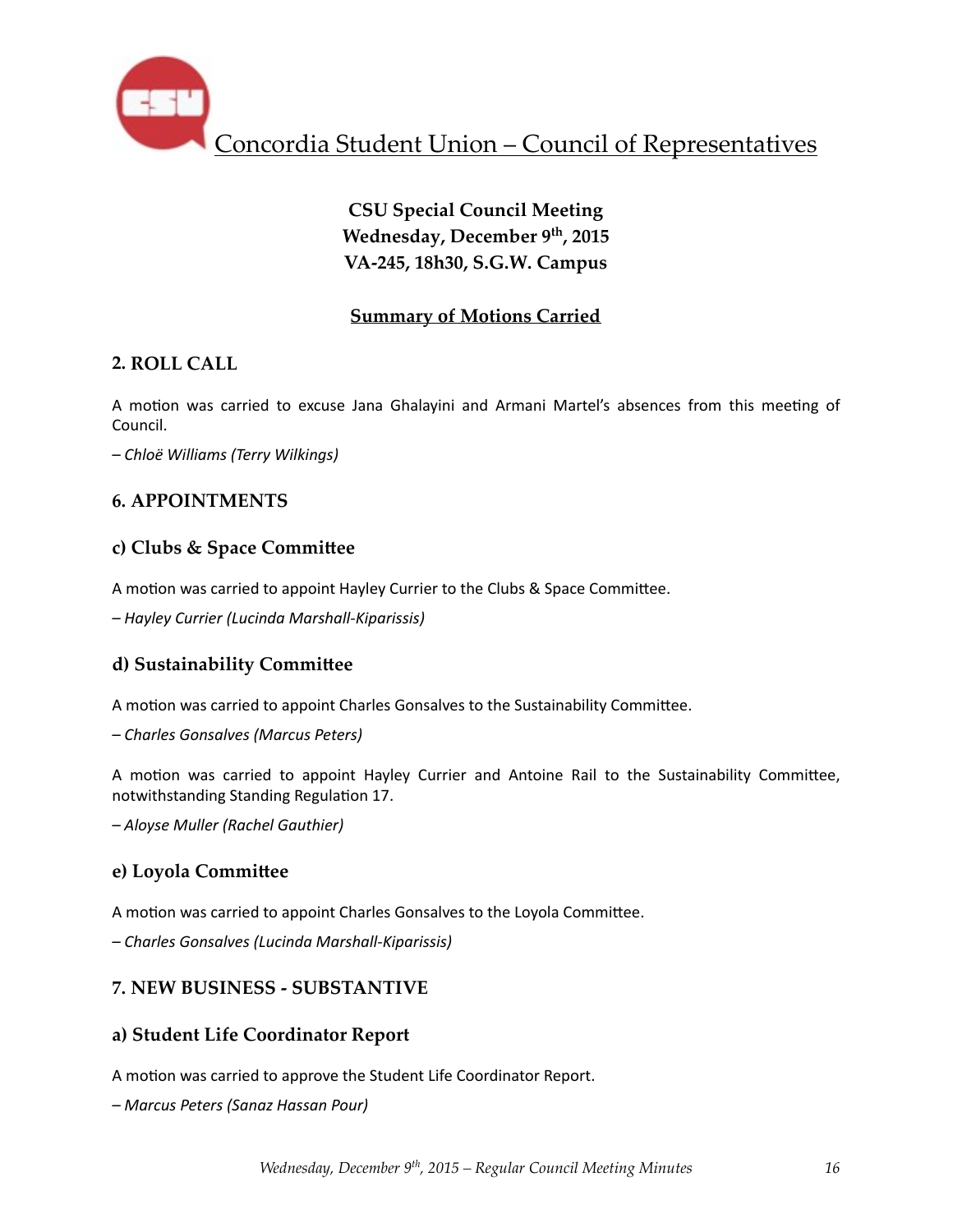

# **CSU Special Council Meeting Wednesday, December 9th, 2015 VA-245, 18h30, S.G.W. Campus**

## **Summary of Motions Carried**

### **2. ROLL CALL**

A motion was carried to excuse Jana Ghalayini and Armani Martel's absences from this meeting of Council. 

*– Chloë Williams (Terry Wilkings)* 

## **6. APPOINTMENTS**

### **c) Clubs & Space Commi^ee**

A motion was carried to appoint Hayley Currier to the Clubs & Space Committee.

*– Hayley Currier (Lucinda Marshall-Kiparissis)* 

### **d) Sustainability Commi^ee**

A motion was carried to appoint Charles Gonsalves to the Sustainability Committee.

*– Charles Gonsalves (Marcus Peters)* 

A motion was carried to appoint Hayley Currier and Antoine Rail to the Sustainability Committee, notwithstanding Standing Regulation 17.

*– Aloyse Muller (Rachel Gauthier)* 

### **e)** Loyola Committee

A motion was carried to appoint Charles Gonsalves to the Loyola Committee.

*– Charles Gonsalves (Lucinda Marshall-Kiparissis)* 

### **7. NEW BUSINESS - SUBSTANTIVE**

### **a) Student Life Coordinator Report**

A motion was carried to approve the Student Life Coordinator Report.

*– Marcus Peters (Sanaz Hassan Pour)*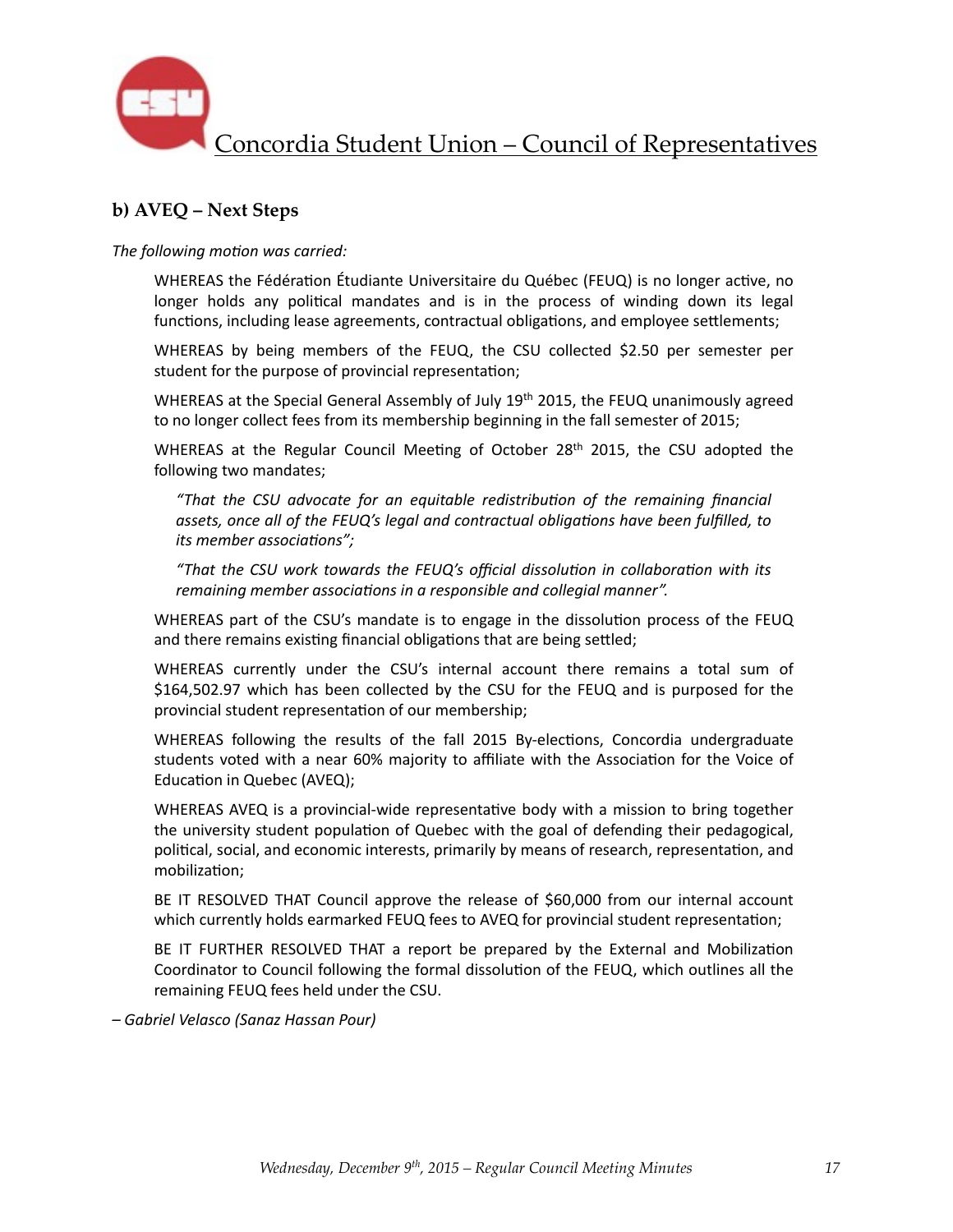

## **b) AVEQ – Next Steps**

The following motion was carried:

WHEREAS the Fédération Étudiante Universitaire du Québec (FEUQ) is no longer active, no longer holds any political mandates and is in the process of winding down its legal functions, including lease agreements, contractual obligations, and employee settlements;

WHEREAS by being members of the FEUQ, the CSU collected \$2.50 per semester per student for the purpose of provincial representation;

WHEREAS at the Special General Assembly of July  $19<sup>th</sup>$  2015, the FEUQ unanimously agreed to no longer collect fees from its membership beginning in the fall semester of 2015;

WHEREAS at the Regular Council Meeting of October  $28<sup>th</sup>$  2015, the CSU adopted the following two mandates;

*"That the CSU advocate for an equitable redistribu6on of the remaining financial*  assets, once all of the FEUQ's legal and contractual obligations have been fulfilled, to *its* member associations";

"That the CSU work towards the FEUQ's official dissolution in collaboration with its *remaining member associations in a responsible and collegial manner".* 

WHEREAS part of the CSU's mandate is to engage in the dissolution process of the FEUQ and there remains existing financial obligations that are being settled;

WHEREAS currently under the CSU's internal account there remains a total sum of \$164,502.97 which has been collected by the CSU for the FEUQ and is purposed for the provincial student representation of our membership;

WHEREAS following the results of the fall 2015 By-elections, Concordia undergraduate students voted with a near 60% majority to affiliate with the Association for the Voice of Education in Quebec (AVEQ);

WHEREAS AVEQ is a provincial-wide representative body with a mission to bring together the university student population of Quebec with the goal of defending their pedagogical, political, social, and economic interests, primarily by means of research, representation, and mobilization;

BE IT RESOLVED THAT Council approve the release of \$60,000 from our internal account which currently holds earmarked FEUQ fees to AVEQ for provincial student representation;

BE IT FURTHER RESOLVED THAT a report be prepared by the External and Mobilization Coordinator to Council following the formal dissolution of the FEUQ, which outlines all the remaining FEUQ fees held under the CSU.

*– Gabriel Velasco (Sanaz Hassan Pour)*